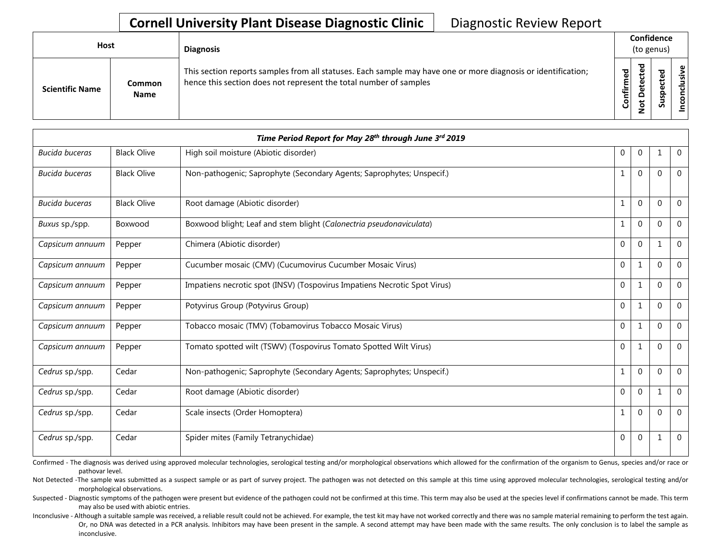## **Cornell University Plant Disease Diagnostic Clinic | Diagnostic Review Report**

| <b>Host</b>            |                       | <b>Diagnosis</b>                                                                                                                                                                   |           | Confidence<br>(to genus)                     |   |                 |  |
|------------------------|-----------------------|------------------------------------------------------------------------------------------------------------------------------------------------------------------------------------|-----------|----------------------------------------------|---|-----------------|--|
| <b>Scientific Name</b> | Common<br><b>Name</b> | This section reports samples from all statuses. Each sample may have one or more diagnosis or identification;<br>hence this section does not represent the total number of samples | Confirmed | ъ<br>൧<br>Φ<br>سه<br>Δ<br>سه<br>$\circ$<br>⇁ | ທ | ω<br>usiv<br>᠊ᠣ |  |

|                       |                    | Time Period Report for May 28th through June 3rd 2019                     |              |                |          |                |
|-----------------------|--------------------|---------------------------------------------------------------------------|--------------|----------------|----------|----------------|
| <b>Bucida buceras</b> | <b>Black Olive</b> | High soil moisture (Abiotic disorder)                                     | $\mathbf 0$  | $\overline{0}$ |          | $\overline{0}$ |
| <b>Bucida buceras</b> | <b>Black Olive</b> | Non-pathogenic; Saprophyte (Secondary Agents; Saprophytes; Unspecif.)     | 1            | $\Omega$       | $\Omega$ | $\overline{0}$ |
| <b>Bucida buceras</b> | <b>Black Olive</b> | Root damage (Abiotic disorder)                                            | 1            | $\mathbf{0}$   | $\Omega$ | $\overline{0}$ |
| Buxus sp./spp.        | Boxwood            | Boxwood blight; Leaf and stem blight (Calonectria pseudonaviculata)       | 1            | $\mathbf{0}$   | $\Omega$ | $\mathbf{0}$   |
| Capsicum annuum       | Pepper             | Chimera (Abiotic disorder)                                                | $\Omega$     | $\mathbf{0}$   | -1       | $\mathbf{0}$   |
| Capsicum annuum       | Pepper             | Cucumber mosaic (CMV) (Cucumovirus Cucumber Mosaic Virus)                 | 0            | 1              | $\Omega$ | $\Omega$       |
| Capsicum annuum       | Pepper             | Impatiens necrotic spot (INSV) (Tospovirus Impatiens Necrotic Spot Virus) | $\mathbf{0}$ | 1              | $\Omega$ | $\Omega$       |
| Capsicum annuum       | Pepper             | Potyvirus Group (Potyvirus Group)                                         | $\mathbf{0}$ | 1              | $\Omega$ | $\mathbf{0}$   |
| Capsicum annuum       | Pepper             | Tobacco mosaic (TMV) (Tobamovirus Tobacco Mosaic Virus)                   | $\mathbf{0}$ | 1              | $\Omega$ | $\Omega$       |
| Capsicum annuum       | Pepper             | Tomato spotted wilt (TSWV) (Tospovirus Tomato Spotted Wilt Virus)         | $\mathbf{0}$ | 1              | $\Omega$ | $\mathbf 0$    |
| Cedrus sp./spp.       | Cedar              | Non-pathogenic; Saprophyte (Secondary Agents; Saprophytes; Unspecif.)     | $\mathbf{1}$ | $\mathbf{0}$   | $\Omega$ | $\overline{0}$ |
| Cedrus sp./spp.       | Cedar              | Root damage (Abiotic disorder)                                            | $\mathbf 0$  | $\mathbf{0}$   |          | $\Omega$       |
| Cedrus sp./spp.       | Cedar              | Scale insects (Order Homoptera)                                           | 1            | $\mathbf{0}$   | $\Omega$ | $\mathbf{0}$   |
| Cedrus sp./spp.       | Cedar              | Spider mites (Family Tetranychidae)                                       | 0            | $\mathbf{0}$   |          | $\mathbf{0}$   |

Confirmed - The diagnosis was derived using approved molecular technologies, serological testing and/or morphological observations which allowed for the confirmation of the organism to Genus, species and/or race or pathovar level.

Not Detected -The sample was submitted as a suspect sample or as part of survey project. The pathogen was not detected on this sample at this time using approved molecular technologies, serological testing and/or morphological observations.

Suspected - Diagnostic symptoms of the pathogen were present but evidence of the pathogen could not be confirmed at this time. This term may also be used at the species level if confirmations cannot be made. This term may also be used with abiotic entries.

Or, no DNA was detected in a PCR analysis. Inhibitors may have been present in the sample. A second attempt may have been made with the same results. The only conclusion is to label the sample as Inconclusive - Although a suitable sample was received, a reliable result could not be achieved. For example, the test kit may have not worked correctly and there was no sample material remaining to perform the test again. inconclusive.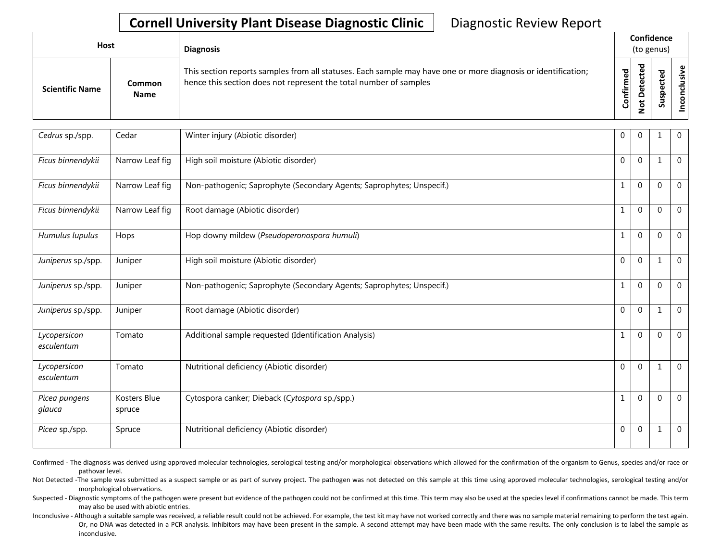## **Cornell University Plant Disease Diagnostic Clinic | Diagnostic Review Report**

| Host                   |                       | <b>Diagnosis</b>                                                                                                                                                                   |                   | Confidence<br>(to genus) |                                 |                                     |
|------------------------|-----------------------|------------------------------------------------------------------------------------------------------------------------------------------------------------------------------------|-------------------|--------------------------|---------------------------------|-------------------------------------|
| <b>Scientific Name</b> | Common<br><b>Name</b> | This section reports samples from all statuses. Each sample may have one or more diagnosis or identification;<br>hence this section does not represent the total number of samples | ъ<br>ω<br>Confirm | ᇃ<br>$\Omega$<br>۰       | ъ<br>ω<br>o<br>으<br>s<br>ـ<br>n | $\omega$<br>$\overline{\mathbf{S}}$ |

| Cedrus sp./spp.            | Cedar                  | Winter injury (Abiotic disorder)                                      | 0            | 0              | 1            | $\mathbf{0}$   |
|----------------------------|------------------------|-----------------------------------------------------------------------|--------------|----------------|--------------|----------------|
| Ficus binnendykii          | Narrow Leaf fig        | High soil moisture (Abiotic disorder)                                 | 0            | $\mathbf 0$    | 1            | $\mathbf 0$    |
| Ficus binnendykii          | Narrow Leaf fig        | Non-pathogenic; Saprophyte (Secondary Agents; Saprophytes; Unspecif.) | $\mathbf{1}$ | $\mathbf 0$    | $\Omega$     | $\mathbf{0}$   |
| Ficus binnendykii          | Narrow Leaf fig        | Root damage (Abiotic disorder)                                        | $\mathbf{1}$ | $\mathbf 0$    | $\mathbf{0}$ | $\mathbf 0$    |
| Humulus lupulus            | Hops                   | Hop downy mildew (Pseudoperonospora humuli)                           | $\mathbf{1}$ | $\mathbf 0$    | $\Omega$     | $\mathbf 0$    |
| Juniperus sp./spp.         | Juniper                | High soil moisture (Abiotic disorder)                                 | $\mathbf{0}$ | $\overline{0}$ | $\mathbf 1$  | $\mathbf 0$    |
| Juniperus sp./spp.         | Juniper                | Non-pathogenic; Saprophyte (Secondary Agents; Saprophytes; Unspecif.) | 1            | $\mathbf 0$    | $\Omega$     | $\Omega$       |
| Juniperus sp./spp.         | Juniper                | Root damage (Abiotic disorder)                                        | $\mathbf{0}$ | $\mathbf 0$    | $\mathbf{1}$ | $\mathbf 0$    |
| Lycopersicon<br>esculentum | Tomato                 | Additional sample requested (Identification Analysis)                 | 1            | $\overline{0}$ | $\Omega$     | $\Omega$       |
| Lycopersicon<br>esculentum | Tomato                 | Nutritional deficiency (Abiotic disorder)                             | $\mathbf 0$  | $\Omega$       | $\mathbf{1}$ | $\Omega$       |
| Picea pungens<br>glauca    | Kosters Blue<br>spruce | Cytospora canker; Dieback (Cytospora sp./spp.)                        | 1            | $\mathbf 0$    | $\Omega$     | $\Omega$       |
| Picea sp./spp.             | Spruce                 | Nutritional deficiency (Abiotic disorder)                             | $\mathbf{0}$ | $\mathbf{0}$   | $\mathbf 1$  | $\overline{0}$ |

Confirmed - The diagnosis was derived using approved molecular technologies, serological testing and/or morphological observations which allowed for the confirmation of the organism to Genus, species and/or race or pathovar level.

Not Detected -The sample was submitted as a suspect sample or as part of survey project. The pathogen was not detected on this sample at this time using approved molecular technologies, serological testing and/or morphological observations.

Suspected - Diagnostic symptoms of the pathogen were present but evidence of the pathogen could not be confirmed at this time. This term may also be used at the species level if confirmations cannot be made. This term may also be used with abiotic entries.

Or, no DNA was detected in a PCR analysis. Inhibitors may have been present in the sample. A second attempt may have been made with the same results. The only conclusion is to label the sample as Inconclusive - Although a suitable sample was received, a reliable result could not be achieved. For example, the test kit may have not worked correctly and there was no sample material remaining to perform the test again. inconclusive.